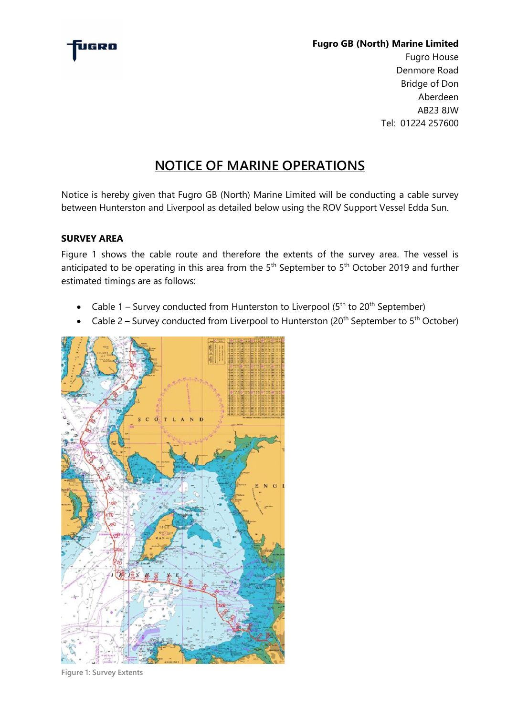

## **Fugro GB (North) Marine Limited**

Fugro House Denmore Road Bridge of Don Aberdeen AB23 8JW Tel: 01224 257600

# **NOTICE OF MARINE OPERATIONS**

Notice is hereby given that Fugro GB (North) Marine Limited will be conducting a cable survey between Hunterston and Liverpool as detailed below using the ROV Support Vessel Edda Sun.

# **SURVEY AREA**

Figure 1 shows the cable route and therefore the extents of the survey area. The vessel is anticipated to be operating in this area from the 5<sup>th</sup> September to 5<sup>th</sup> October 2019 and further estimated timings are as follows:

- Cable 1 Survey conducted from Hunterston to Liverpool ( $5<sup>th</sup>$  to 20<sup>th</sup> September)
- Cable 2 Survey conducted from Liverpool to Hunterston (20<sup>th</sup> September to 5<sup>th</sup> October)



**Figure 1: Survey Extents**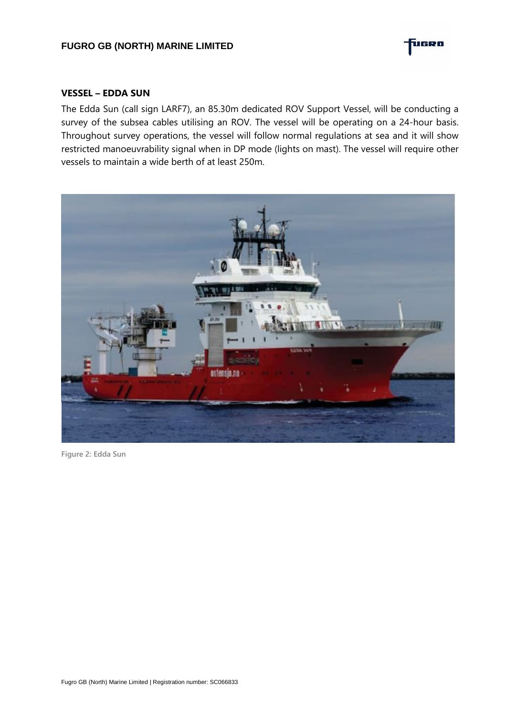

#### **VESSEL – EDDA SUN**

The Edda Sun (call sign LARF7), an 85.30m dedicated ROV Support Vessel, will be conducting a survey of the subsea cables utilising an ROV. The vessel will be operating on a 24-hour basis. Throughout survey operations, the vessel will follow normal regulations at sea and it will show restricted manoeuvrability signal when in DP mode (lights on mast). The vessel will require other vessels to maintain a wide berth of at least 250m.



**Figure 2: Edda Sun**